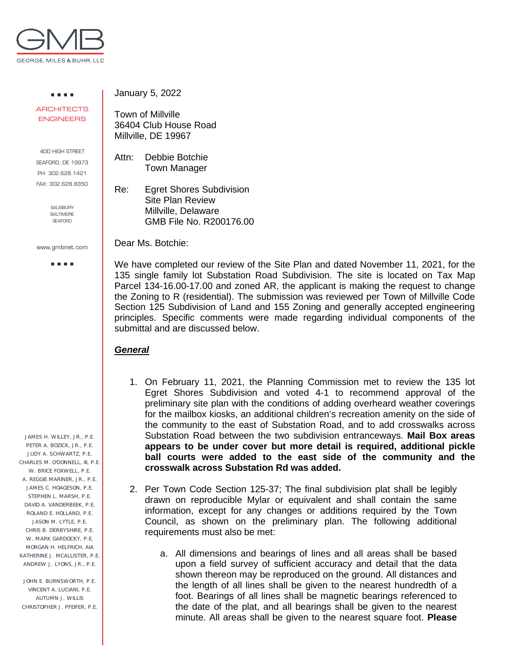

. . . . **ARCHITECTS** ENGINEERS

400 HIGH STREET SEAFORD, DE 19973 PH: 302.628.1421 FAX: 302.628.8350

> SALISBURY BALTIMORE **SEAFORD**

www.gmbnet.com

a a sua

 JAMES H. WILLEY, JR., P.E. PETER A. BOZICK, JR., P.E. JUDY A. SCHWARTZ, P.E. CHARLES M. O'DONNELL, III, P.E. W. BRICE FOXWELL, P.E. A. REGGIE MARINER, JR., P.E. JAMES C. HOAGESON, P.E. STEPHEN L. MARSH, P.E. DAVID A. VANDERBEEK, P.E. ROLAND E. HOLLAND, P.E. JASON M. LYTLE, P.E. CHRIS B. DERBYSHIRE, P.E. W. MARK GARDOCKY, P.E. MORGAN H. HELFRICH, AIA KATHERINE J. MCALLISTER, P.E. ANDREW J. LYONS, JR., P.E.

 JOHN E. BURNSWORTH, P.E. VINCENT A. LUCIANI, P.E. AUTUMN J. WILLIS CHRISTOPHER J. PFEIFER, P.E. January 5, 2022

Town of Millville 36404 Club House Road Millville, DE 19967

Attn: Debbie Botchie Town Manager

Re: Egret Shores Subdivision Site Plan Review Millville, Delaware GMB File No. R200176.00

Dear Ms. Botchie:

We have completed our review of the Site Plan and dated November 11, 2021, for the 135 single family lot Substation Road Subdivision. The site is located on Tax Map Parcel 134-16.00-17.00 and zoned AR, the applicant is making the request to change the Zoning to R (residential). The submission was reviewed per Town of Millville Code Section 125 Subdivision of Land and 155 Zoning and generally accepted engineering principles. Specific comments were made regarding individual components of the submittal and are discussed below.

## *General*

- 1. On February 11, 2021, the Planning Commission met to review the 135 lot Egret Shores Subdivision and voted 4-1 to recommend approval of the preliminary site plan with the conditions of adding overheard weather coverings for the mailbox kiosks, an additional children's recreation amenity on the side of the community to the east of Substation Road, and to add crosswalks across Substation Road between the two subdivision entranceways. **Mail Box areas appears to be under cover but more detail is required, additional pickle ball courts were added to the east side of the community and the crosswalk across Substation Rd was added.**
- 2. Per Town Code Section 125-37; The final subdivision plat shall be legibly drawn on reproducible Mylar or equivalent and shall contain the same information, except for any changes or additions required by the Town Council, as shown on the preliminary plan. The following additional requirements must also be met:
	- a. All dimensions and bearings of lines and all areas shall be based upon a field survey of sufficient accuracy and detail that the data shown thereon may be reproduced on the ground. All distances and the length of all lines shall be given to the nearest hundredth of a foot. Bearings of all lines shall be magnetic bearings referenced to the date of the plat, and all bearings shall be given to the nearest minute. All areas shall be given to the nearest square foot. **Please**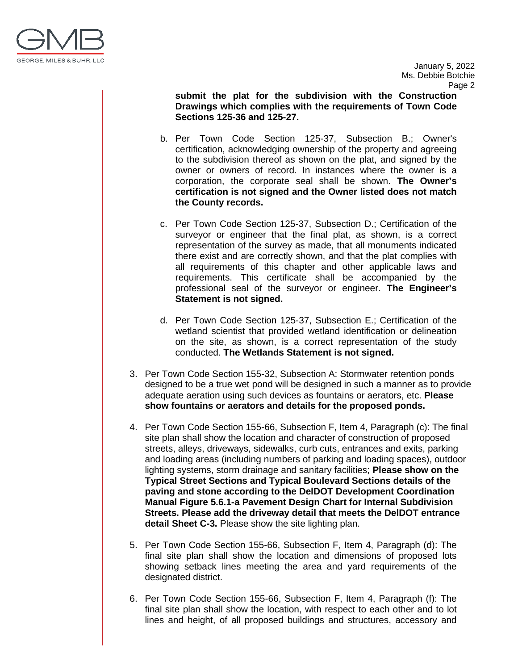

January 5, 2022 Ms. Debbie Botchie Page 2

**submit the plat for the subdivision with the Construction Drawings which complies with the requirements of Town Code Sections 125-36 and 125-27.**

- b. Per Town Code Section 125-37, Subsection B.; Owner's certification, acknowledging ownership of the property and agreeing to the subdivision thereof as shown on the plat, and signed by the owner or owners of record. In instances where the owner is a corporation, the corporate seal shall be shown. **The Owner's certification is not signed and the Owner listed does not match the County records.**
- c. Per Town Code Section 125-37, Subsection D.; Certification of the surveyor or engineer that the final plat, as shown, is a correct representation of the survey as made, that all monuments indicated there exist and are correctly shown, and that the plat complies with all requirements of this chapter and other applicable laws and requirements. This certificate shall be accompanied by the professional seal of the surveyor or engineer. **The Engineer's Statement is not signed.**
- d. Per Town Code Section 125-37, Subsection E.; Certification of the wetland scientist that provided wetland identification or delineation on the site, as shown, is a correct representation of the study conducted. **The Wetlands Statement is not signed.**
- 3. Per Town Code Section 155-32, Subsection A: Stormwater retention ponds designed to be a true wet pond will be designed in such a manner as to provide adequate aeration using such devices as fountains or aerators, etc. **Please show fountains or aerators and details for the proposed ponds.**
- 4. Per Town Code Section 155-66, Subsection F, Item 4, Paragraph (c): The final site plan shall show the location and character of construction of proposed streets, alleys, driveways, sidewalks, curb cuts, entrances and exits, parking and loading areas (including numbers of parking and loading spaces), outdoor lighting systems, storm drainage and sanitary facilities; **Please show on the Typical Street Sections and Typical Boulevard Sections details of the paving and stone according to the DelDOT Development Coordination Manual Figure 5.6.1-a Pavement Design Chart for Internal Subdivision Streets. Please add the driveway detail that meets the DelDOT entrance detail Sheet C-3.** Please show the site lighting plan.
- 5. Per Town Code Section 155-66, Subsection F, Item 4, Paragraph (d): The final site plan shall show the location and dimensions of proposed lots showing setback lines meeting the area and yard requirements of the designated district.
- 6. Per Town Code Section 155-66, Subsection F, Item 4, Paragraph (f): The final site plan shall show the location, with respect to each other and to lot lines and height, of all proposed buildings and structures, accessory and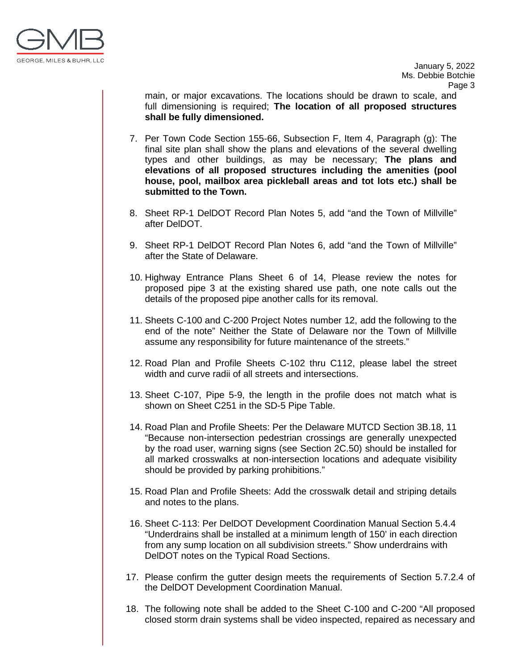

main, or major excavations. The locations should be drawn to scale, and full dimensioning is required; **The location of all proposed structures shall be fully dimensioned.** 

- 7. Per Town Code Section 155-66, Subsection F, Item 4, Paragraph (g): The final site plan shall show the plans and elevations of the several dwelling types and other buildings, as may be necessary; **The plans and elevations of all proposed structures including the amenities (pool house, pool, mailbox area pickleball areas and tot lots etc.) shall be submitted to the Town.**
- 8. Sheet RP-1 DelDOT Record Plan Notes 5, add "and the Town of Millville" after DelDOT.
- 9. Sheet RP-1 DelDOT Record Plan Notes 6, add "and the Town of Millville" after the State of Delaware.
- 10. Highway Entrance Plans Sheet 6 of 14, Please review the notes for proposed pipe 3 at the existing shared use path, one note calls out the details of the proposed pipe another calls for its removal.
- 11. Sheets C-100 and C-200 Project Notes number 12, add the following to the end of the note" Neither the State of Delaware nor the Town of Millville assume any responsibility for future maintenance of the streets."
- 12. Road Plan and Profile Sheets C-102 thru C112, please label the street width and curve radii of all streets and intersections.
- 13. Sheet C-107, Pipe 5-9, the length in the profile does not match what is shown on Sheet C251 in the SD-5 Pipe Table.
- 14. Road Plan and Profile Sheets: Per the Delaware MUTCD Section 3B.18, 11 "Because non-intersection pedestrian crossings are generally unexpected by the road user, warning signs (see Section 2C.50) should be installed for all marked crosswalks at non-intersection locations and adequate visibility should be provided by parking prohibitions."
- 15. Road Plan and Profile Sheets: Add the crosswalk detail and striping details and notes to the plans.
- 16. Sheet C-113: Per DelDOT Development Coordination Manual Section 5.4.4 "Underdrains shall be installed at a minimum length of 150' in each direction from any sump location on all subdivision streets." Show underdrains with DelDOT notes on the Typical Road Sections.
- 17. Please confirm the gutter design meets the requirements of Section 5.7.2.4 of the DelDOT Development Coordination Manual.
- 18. The following note shall be added to the Sheet C-100 and C-200 "All proposed closed storm drain systems shall be video inspected, repaired as necessary and